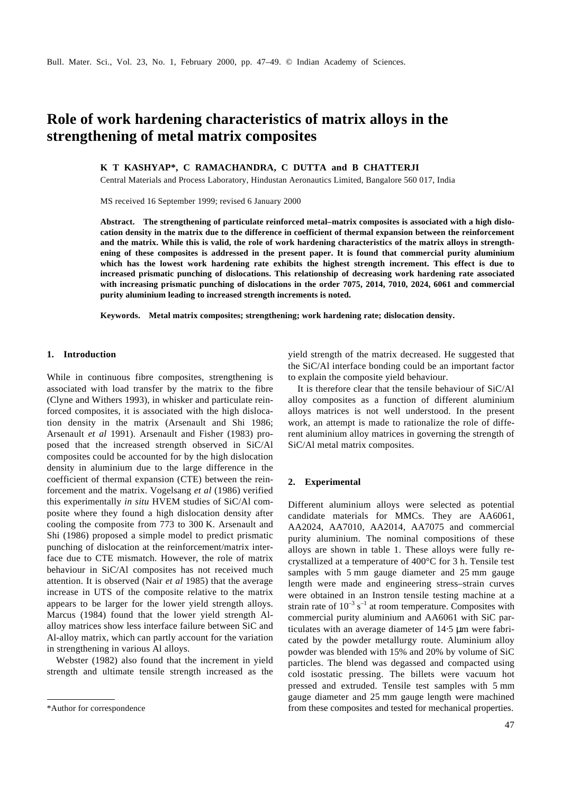# **Role of work hardening characteristics of matrix alloys in the strengthening of metal matrix composites**

**K T KASHYAP\*, C RAMACHANDRA, C DUTTA and B CHATTERJI**

Central Materials and Process Laboratory, Hindustan Aeronautics Limited, Bangalore 560 017, India

MS received 16 September 1999; revised 6 January 2000

**Abstract. The strengthening of particulate reinforced metal–matrix composites is associated with a high dislocation density in the matrix due to the difference in coefficient of thermal expansion between the reinforcement and the matrix. While this is valid, the role of work hardening characteristics of the matrix alloys in strengthening of these composites is addressed in the present paper. It is found that commercial purity aluminium which has the lowest work hardening rate exhibits the highest strength increment. This effect is due to increased prismatic punching of dislocations. This relationship of decreasing work hardening rate associated with increasing prismatic punching of dislocations in the order 7075, 2014, 7010, 2024, 6061 and commercial purity aluminium leading to increased strength increments is noted.**

**Keywords. Metal matrix composites; strengthening; work hardening rate; dislocation density.**

## **1. Introduction**

While in continuous fibre composites, strengthening is associated with load transfer by the matrix to the fibre (Clyne and Withers 1993), in whisker and particulate reinforced composites, it is associated with the high dislocation density in the matrix (Arsenault and Shi 1986; Arsenault *et al* 1991). Arsenault and Fisher (1983) proposed that the increased strength observed in SiC/Al composites could be accounted for by the high dislocation density in aluminium due to the large difference in the coefficient of thermal expansion (CTE) between the reinforcement and the matrix. Vogelsang *et al* (1986) verified this experimentally *in situ* HVEM studies of SiC/Al composite where they found a high dislocation density after cooling the composite from 773 to 300 K. Arsenault and Shi (1986) proposed a simple model to predict prismatic punching of dislocation at the reinforcement/matrix interface due to CTE mismatch. However, the role of matrix behaviour in SiC/Al composites has not received much attention. It is observed (Nair *et al* 1985) that the average increase in UTS of the composite relative to the matrix appears to be larger for the lower yield strength alloys. Marcus (1984) found that the lower yield strength Alalloy matrices show less interface failure between SiC and Al-alloy matrix, which can partly account for the variation in strengthening in various Al alloys.

Webster (1982) also found that the increment in yield strength and ultimate tensile strength increased as the yield strength of the matrix decreased. He suggested that the SiC/Al interface bonding could be an important factor to explain the composite yield behaviour.

It is therefore clear that the tensile behaviour of SiC/Al alloy composites as a function of different aluminium alloys matrices is not well understood. In the present work, an attempt is made to rationalize the role of different aluminium alloy matrices in governing the strength of SiC/Al metal matrix composites.

#### **2. Experimental**

Different aluminium alloys were selected as potential candidate materials for MMCs. They are AA6061, AA2024, AA7010, AA2014, AA7075 and commercial purity aluminium. The nominal compositions of these alloys are shown in table 1. These alloys were fully recrystallized at a temperature of 400°C for 3 h. Tensile test samples with 5 mm gauge diameter and 25 mm gauge length were made and engineering stress–strain curves were obtained in an Instron tensile testing machine at a strain rate of  $10^{-3}$  s<sup>-1</sup> at room temperature. Composites with commercial purity aluminium and AA6061 with SiC particulates with an average diameter of 14⋅5 μm were fabricated by the powder metallurgy route. Aluminium alloy powder was blended with 15% and 20% by volume of SiC particles. The blend was degassed and compacted using cold isostatic pressing. The billets were vacuum hot pressed and extruded. Tensile test samples with 5 mm gauge diameter and 25 mm gauge length were machined \*Author for correspondence from these composites and tested for mechanical properties.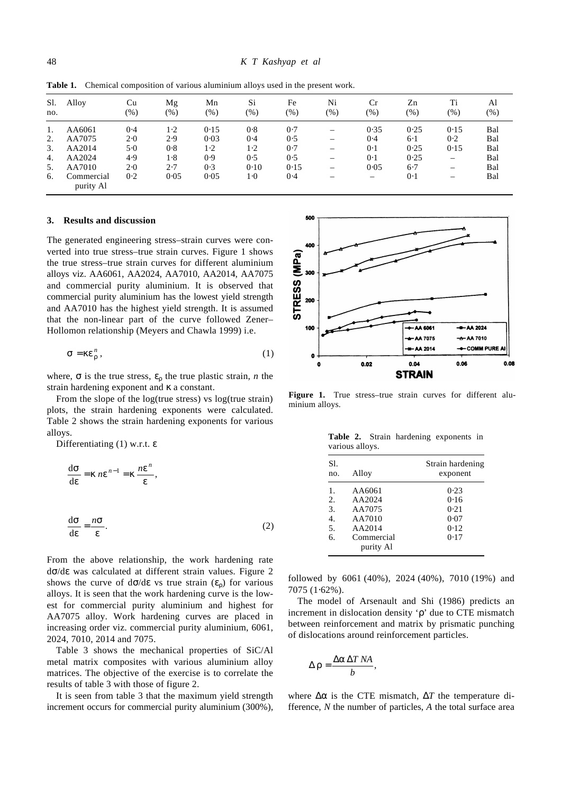| Sl.<br>no. | Alloy                   | Cu<br>$(\%)$ | Mg<br>(%) | Mn<br>$(\%)$ | Si<br>$(\%)$ | Fe<br>$(\%)$ | Ni<br>$(\% )$            | Cr<br>$(\%)$                   | Zn<br>$(\%)$ | Ti<br>$(\% )$            | Al<br>$(\% )$ |
|------------|-------------------------|--------------|-----------|--------------|--------------|--------------|--------------------------|--------------------------------|--------------|--------------------------|---------------|
| 1.         | AA6061                  | 0.4          | 1.2       | 0.15         | 0.8          | 0.7          |                          | 0.35                           | 0.25         | 0.15                     | Bal           |
| 2.         | AA7075                  | 2.0          | 2.9       | 0.03         | 0.4          | 0.5          | $\overline{\phantom{0}}$ | 0.4                            | $6-1$        | 0.2                      | Bal           |
| 3.         | AA2014                  | 5.0          | 0.8       | $1-2$        | $1-2$        | 0.7          | -                        | 0.1                            | 0.25         | 0.15                     | Bal           |
| 4.         | AA2024                  | 4.9          | 1.8       | 0.9          | 0.5          | 0.5          | -                        | 0.1                            | 0.25         | $\overline{\phantom{m}}$ | Bal           |
| 5.         | AA7010                  | 2.0          | 2.7       | 0.3          | 0.10         | 0.15         |                          | 0.05                           | $6-7$        |                          | Bal           |
| 6.         | Commercial<br>purity Al | 0.2          | 0.05      | 0.05         | 1.0          | 0.4          |                          | $\qquad \qquad \longleftarrow$ | 0.1          | —                        | Bal           |

**Table 1.** Chemical composition of various aluminium alloys used in the present work.

#### **3. Results and discussion**

The generated engineering stress–strain curves were converted into true stress–true strain curves. Figure 1 shows the true stress–true strain curves for different aluminium alloys viz. AA6061, AA2024, AA7010, AA2014, AA7075 and commercial purity aluminium. It is observed that commercial purity aluminium has the lowest yield strength and AA7010 has the highest yield strength. It is assumed that the non-linear part of the curve followed Zener– Hollomon relationship (Meyers and Chawla 1999) i.e.

$$
s = k e_r^n, \tag{1}
$$

where,  $\boldsymbol{s}$  is the true stress,  $\boldsymbol{e}_r$  the true plastic strain, *n* the strain hardening exponent and *k* a constant.

From the slope of the log(true stress) vs log(true strain) plots, the strain hardening exponents were calculated. Table 2 shows the strain hardening exponents for various alloys.

Differentiating (1) w.r.t. *e*

$$
\frac{d\mathbf{s}}{d\mathbf{e}} = \mathbf{k} n \mathbf{e}^{n-1} = \mathbf{k} \frac{n \mathbf{e}^n}{\mathbf{e}},
$$
  

$$
\frac{d\mathbf{s}}{d\mathbf{e}} = \frac{n \mathbf{s}}{\mathbf{e}}.
$$
 (2)

From the above relationship, the work hardening rate d*s*/d*e* was calculated at different strain values. Figure 2 shows the curve of  $ds/de$  vs true strain  $(e_r)$  for various alloys. It is seen that the work hardening curve is the lowest for commercial purity aluminium and highest for AA7075 alloy. Work hardening curves are placed in increasing order viz. commercial purity aluminium, 6061, 2024, 7010, 2014 and 7075.

Table 3 shows the mechanical properties of SiC/Al metal matrix composites with various aluminium alloy matrices. The objective of the exercise is to correlate the results of table 3 with those of figure 2.

It is seen from table 3 that the maximum yield strength increment occurs for commercial purity aluminium (300%),



Figure 1. True stress–true strain curves for different aluminium alloys.

|                 |  | Table 2. Strain hardening exponents in |  |
|-----------------|--|----------------------------------------|--|
| various alloys. |  |                                        |  |

| Sl.<br>no.                                     | Alloy                                                                     | Strain hardening<br>exponent                 |
|------------------------------------------------|---------------------------------------------------------------------------|----------------------------------------------|
| 1.<br>2.<br>3.<br>$\overline{4}$ .<br>5.<br>б. | AA6061<br>AA2024<br>AA7075<br>AA7010<br>AA2014<br>Commercial<br>purity Al | 0.23<br>0.16<br>0.21<br>0.07<br>0.12<br>0.17 |

followed by 6061 (40%), 2024 (40%), 7010 (19%) and 7075 (1⋅62%).

The model of Arsenault and Shi (1986) predicts an increment in dislocation density '*r*' due to CTE mismatch between reinforcement and matrix by prismatic punching of dislocations around reinforcement particles.

$$
\Delta \mathbf{r} = \frac{\Delta \mathbf{a} \, \Delta T \, N \mathbf{A}}{b},
$$

where  $\Delta a$  is the CTE mismatch,  $\Delta T$  the temperature difference, *N* the number of particles, *A* the total surface area